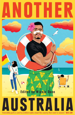# Edited by Winnie Dunn

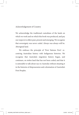#### Acknowledgement of Country

We acknowledge the traditional custodians of the lands on which we work and on which this book was produced, and pay our respects to elders past, present and emerging. We recognise that sovereignty was never ceded. Always was always will be. Aboriginal land.

We embrace the principle of 'First Nations First': recentring Australian history with Indigenous histories. We recognise that Australia's migration history began, and continues, on stolen land that has not been ceded; and that it is untenable to talk about race in Australia without situating it in the histories of dispossession and colonisation of Australia's First Peoples.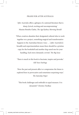#### PRAISE FOR *AFTER AUSTRALIA*

'*After Australia* offers a glimpse of a national literature that is sharp, lyrical, exciting and uncompromising.' Maxine Beneba Clarke, *The Age/Sydney Morning Herald*

'When creatives abandon their designated cultural silos to work together on a project, something magical and transformative happens to the Australian literary voice … [*After Australia*'s] breadth and experimentalism mean there should be a pristine copy for the bookshelf and another dog-eared one for your handbag. Each story demands a revisit.' *The Big Issue* 

'There is much in this book to fascinate, inspire and provoke.' *Kill Your Darlings*

'How the past and present affect or compromise the future is explored here in provocative and sometimes surprising ways.' *The Saturday Paper*

'This book challenges and enthralls in equal measure. It is dynamite!' Christos Tsiolkas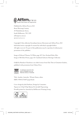

Published by Affirm Press in 2022 Boon Wurrung Country 28 Thistlethwaite Street, South Melbourne, VIC 3205 affirmpress.com.au 10 9 8 7 6 5 4 3 2 1

Copyright © this collection Sweatshop Literacy Movement and Affirm Press, 2022 Individual stories copyright © retained by individual copyright holders All rights reserved. No part of this publication may be reproduced without prior permission of the publisher.

Image of Edward Thomas Te Whiu, page 107: New Zealand Police Files Image of Mt Eden Prison, page 120: Auckland Libraries Heritage Collection

*Gr8ful* by Shankari Chandran is an edited extract from *Chai Time at Cinnamon Gardens*, published with permission from Ultimo Press



A catalogue record for this book is available from the National Library of Australia

Title: Another Australia / Winnie Dunn, editor. ISBN: 9781922711687 (paperback)

Cover design by Josh Durham, Design by Committee Typeset in 11.5pt/19.5pt Minion Pro by J&M Typesetting Proudly printed in Australia by McPherson's Printing Group

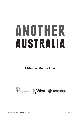# ANOTHER AUSTRALIA

Edited by Winnie Dunn





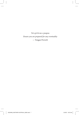*Tu'u pē lā mo e poupou Ensure you are prepared for any eventuality* — Tongan Proverb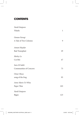### **CONTENTS**

| Nardi Simpson          |              |
|------------------------|--------------|
| Yilaalu                | $\mathbf{1}$ |
| Osman Faruqi           |              |
| A Tale of Two Colonies | 9            |
| Amani Haydar           |              |
| <b>Bad Transplant</b>  | 29           |
| Shirley Le             |              |
| Coi Bói                | 47           |
| Sara M Saleh           |              |
| Communities of Concern | 73           |
| Omar Musa              |              |
| song of the frog       | 95           |
| Anne-Marie Te Whiu     |              |
| Paper Thin             | 103          |
| Nardi Simpson          |              |
| Bigan                  | 123          |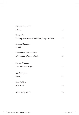| L-FRESH The LION                           |     |
|--------------------------------------------|-----|
| I Am                                       | 131 |
| Declan Fry                                 |     |
| Nothing Remembered and Everything That Was | 161 |
| Shankari Chandran                          |     |
| Gr8ful                                     | 187 |
| Mohammed Massoud Morsi                     |     |
| A Mountain Without a Peak                  | 203 |
| Sisonke Msimang                            |     |
| The Innocence Project                      | 225 |
| Nardi Simpson                              |     |
| Warran                                     | 253 |
| Lena Nahlous                               |     |
| Afterword                                  | 261 |
| Acknowledgements                           | 267 |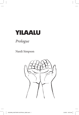# YILAALU

# *Prologue*

Nardi Simpson

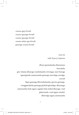*wuuna ngay birralii wuuna nguungu birralii wuuna nguungu birralii wuuna milan-ngu birralii ganungu wuuna birralii*

*wuu-na*

with Tracey Cameron

dhuyu gaymalaanha dhaymaaya

burrulnha

giirr nhama dhuyugu wambalaanha wirringaa, mari bawaga nguungunda yanaawaanha ganunga murrilaga yarralga, yurruli

Nguu ganunga dhirranbalaanha, garriya ganunga. wanggamalanha ganunga giinbali ghundiga, dhiyaangu yanawaanha-bula ngaya, ngadaa-bala mubal dhuyugu. waal gaburranda. waal ngaya wamba! dhiirralgu ngaya yanawaanha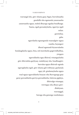#### Nardi Simpson

warrangal nha. giirr nhama gaay, bigan, burrulmaatha gundidhi nha nganunda yanawaanha yanawaanha ngaya, mubal dhuyugu ngadaa buudhaaga. Yaama, ngali guwaalaylanha, ngarriya ngali milan. guwiinbaa. gaba. ngarrilanha nguungunda waaraalgiirr ngaya wamba, bayangurr dhural nganundi biyuurralanha bundaagilanha ngaya, bina, mil muwilanha gugirriidhalibaa, yirrgayn ngarraldanha ngay dhiirral, winangaylanha giirr dhirralnha gayliyaay. mulabiyaay nha. buudhaagiirr. burrulaa ngaya dhiirrali-nginda ngarugilanha ngali. giirr nhama gali wiibiyaay. gaylamala ngay yili. gindamaylanha ngaya waal ngaya ngarraldanha buuyan-nha Burruguuga gaay garay guwaaldanha garriya guwaaldanha, baluwaa gigilaya, dhiirralgu winangay, wirringaa-nha dhuyu-giirrdhabiyaan, warranggal, bawaga nha ganunga wambalaaya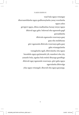#### Nardi Simpson

waal-bala ngaya winangay dhurraamildanha ngaya gudhuwaylanha yanay wuwilanha ngaya yaluu girrigirri ngaya, dhina madhanbaa-baraay miyay ngaya dhiirral ngay gaba. baluwaal nha nganunda gagil guwaaldanha dhiirralu nganunda wuurraaya gaay gaay nha mulabiyaay giirr nganunda dhiirralu wuurraaya gaba gaay gaba winangaylanha wanagilanha ngali, dhiirralanha-nha ngaya buwabiila ngaya gaylamanhi yili, manduwi nha yiiy, yananhi-bula, ngadaa-bala mubal dhuyugu gundhigu dhiirrali ngay nganunda wuurraaya. giirr gaba ngaya ngarralanha dhiirralga yilaa ngaya winangali. dhurrali nha ngaya gayaanga.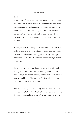#### *Give*

A snake wriggles across the ground. Large enough to carry men and women on its back. On him they travel across the escarpment, over sandstone, through towering forests. He sheds them and they land. They roll from his scales into the places they wish to be. I walk too, under the belly of the snake. Not on top. I'm not silly! I am going to meet my teacher.

She is powerful. Her thoughts, words, actions are boss. She walks from her house to meet me. I walk from mine, under the snake's belly to our meeting place. We say greetings and we sit down. Close. Connected. The way things should always be.

When I am with her I am like a pup at her feet. Silly and young. Sounds tumble from me, I bump into things, my ears and eyes are closed, blurring and unformed. My teacher watches and listens. She is gentle. She is kind. Patient too – Old ways. I have so much to learn.

We drink. The liquid is hot. In my rush to consume I burn my lips. I laugh. I don't realise the burn is creation's warning. It is saying, stop talking, be slow, listen to your teacher, the

6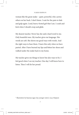#### Nardi Simpson

woman like the great snake – quiet, powerful, who carries others on her back. I don't listen. I wait for the pain to fade and gulp again. Loud, heavy-footed girl that I am. I crash and kick when I should creep and glide.

My dearest teacher. Never has she said a hard word to me. Only beautiful ones. My teacher gives me language. Her words are soft. She shows me good ways with words. And the right ways to hear them. I learn this only when we have parted. After I have burned my lips and bitten her shoes and walked under the snake back to my home.

My teacher gives me things to know but also ways to be. I feel good when I see my teacher. One day I will know how to listen. Then I will do her proud.

*\* illustration by baawaa ngay (my younger sister), Lucy Simpson*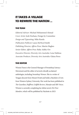## IT TAKES A VILLAGE TO REWRITE THE NATION ...

#### THE TEAM

*Editorial Advisor:* Michael Mohammed Ahmad *Cover Artist:* Josh Durham, Design by Committee *Design and Typesetting:* Mike Kuszla *Publication Publicist:* Laura McNicol Smith *Publishing Director, Affirm Press:* Martin Hughes *Senior Editor, Affirm Press:* Ruby Ashby-Orr *Executive Director, Diversity Arts Australia:* Lena Nahlous *Associate Producer, Diversity Arts Australia:* Glaiza Perez

#### THE EDITOR

Winnie Dunn is the General Manager of Sweatshop Literacy Movement and the editor of several critically acclaimed anthologies, including *Sweatshop Women*. She is a writer of Tongan descent from Mount Druitt and holds a Bachelor of Arts from Western Sydney University. Her work has been published in *The Guardian*, *HuffPost*, *Griffith Review*, *Meanjin* and *SBS Voices*. Winnie is currently completing her debut novel, *Dirt Poor Islanders*, which will be published by Hachette in 2023.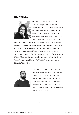#### THE WRITERS



**SHANKARI CHANDRAN** is a Tamil– Australian lawyer who was raised on Ngunnawal Country and now lives and raises her four children on Darug Country. She is the author of three books: *Song of the Sun God* (Perera-Hussein Publishing, 2017), *The Barrier* (Pan Macmillan Australia, 2017)

and *Chai Time at Cinnamon Gardens* (Ultimo Press, 2022). Her work was longlisted for the International Dublin Literary Award (2019), and shortlisted for the Fairway National Literary Award (2018) and the Norma K Hemming Award for Speculative Fiction (2018). She is the recipient of the Blake-Beckett Trust Scholarship (2019), the Create NSW Writers' Fellowship (2018/2019) and grants from the Australia Council for the Arts (2021) and Create NSW (2022). Shankari is the Deputy Chair of Writing NSW.



**OSMAN FARUQI** is an award-winning journalist, editor and author. He is regularly published in *The Sydney Morning Herald*, *The Age*, *The Guardian* and *The Monthly*. He holds adjunct roles at the University of Sydney and the University of New South Wales. His debut book on race in Australia is due for release in 2022.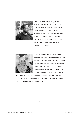

**DECLAN FRY** is a writer, poet and essayist. Born on Wongatha country in Kalgoorlie, he has been awarded a Peter Blazey Fellowship, the Lord Mayor's Creative Writing Award for memoir, and was shortlisted for the Judith Wright Poetry Prize. He currently lives with his partner, their pup Walnut, and a cat, Turnip. @\_declanfry.



**AMANI HAYDAR** is an award-winning writer, visual artist, lawyer and advocate for women's health and safety based in Western Sydney. Amani's debut memoir *The Mother Wound* was awarded the 2022 Victorian Premier's Literary Award for Non-fiction. Amani is a former Archibald Prize finalist

and has had both her writing and art featured in several publications including *Racism*, *Arab Australian Other*, *Sweatshop Women Volume Two*, SBS Voices and ABC News Online.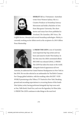

**SHIRLEY LE** is a Vietnamese–Australian writer from Western Sydney. She is a Creative Producer at Sweatshop Literacy Movement and holds a Bachelor of Arts from Macquarie University. Her short stories and essays have been published in *Overland*, *The Guardian*, *SBS Voices*, *The* 

*Griffith Review*, *Meanjin* and several Sweatshop anthologies. Shirley is currently working on her debut novel as the recipient of a 2019 Affirm Press Mentorship.



**L-FRESH THE LION** is one of Australia's most important hip-hop artists and was born and raised in South-West Sydney. In the time since his ARIA-nominated album *BECOME* was released (2016), L-FRESH The LION has taken his music to the world. Alongside festival appearances all over

Australia, he addressed the United Nations Headquarters in New York in late 2018. He was also selected as an ambassador for YouTube's Creators For Change global initiative, with his resulting video *RACI\$T / OUR WORLD* premiering at the Tribeca TV Festival in New York. Breaking ground and exceeding expectations is a recurring theme of this South-West Sydney artist, having performed alongside hip-hop icons such as Nas, Talib Kweli, Dead Prez, and even the legendary Sir Elton John. L-FRESH The LION continues to take things to the next level.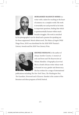

**MOHAMMED MASSOUD MORSI** is a writer with a talent for reaching to the heart of existence in a complex world. His work is invariably raw and powerful as he looks to important questions, finding that which is quintessentially human within much broader struggles. His work is enriched

by his photographer's eye for detail and a passion for speaking out for those suppressed. Morsi's debut novel, *The Palace of Angels* (Wild Dingo Press, 2019) was shortlisted for the 2020 NSW Premier's Literary Awards and the 2020 Voss Literary Prize.



**SISONKE MSIMANG** is the author of *Always Another Country: A memoir of exile and home* and *The Resurrection of Winnie Mandela: A biography of survival*. She is a South African writer whose work is focused on race, gender and democracy. She has written for a range of international

publications including *The New York Times*, *The Washington Post*, *The Guardian*, *Newsweek* and *Al Jazeera*. Sisonke is the curator of the literature and ideas program at Perth Festival.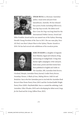

**OMAR MUSA** is a Bornean-Australian author, visual artist and poet from Queanbeyan, Australia. He has released four poetry books (including *Killernova*), four hip-hop records. His debut novel *Here Come the Dogs* was long-listed for the International Dublin Literary Award and

Miles Franklin Award and he was named one of the Sydney Morning Herald's Young Novelists of the Year in 2015. His one-man play, *Since Ali Died*, won Best Cabaret Show at the Sydney Theatre Awards in 2018. He has had several solo exhibitions of his woodcut prints.



**SARA M SALEH** is a daughter of migrants from Palestine, Egypt and Lebanon, living and learning on Gadigal land. A long-time human rights campaigner, writer and poet, Sara's essays, poems and short stories have been published in English and Arabic in *The Guardian*, *SBS*, *Australian Book Review*,

*Overland*, *Meanjin*, *Australian Poetry Journal*, *Cordite Poetry Review*, *Sweatshop Women*, *A Blade of Grass*, *Making Mirrors*, *Solid Air* and *Borderless*. Sara is the first Australian poet to win both the *Australian Book Review*'s Peter Porter Poetry Prize (2021) and the *Overland* Judith Wright Poetry Prize (2020). #SayMashAllah. Sara co-curated the anthology *Arab, Australian, Other* (Picador, 2019) and is developing her debut novel, *Songs for the Dead and the Living* (Affirm Press, 2023).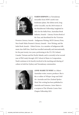

**NARDI SIMPSON** is a Yuwaalaraay storyteller from NSW's north-west freshwater plains. Her debut novel, *Song of the Crocodile*, was the 2018 winner of the black&write! Fellowship, longlisted in 2021 for the Stella Prize, Australian Book Industry Awards – Literary Fiction Book of the Year, and shortlisted for the Victorian

Premiers Literary Awards – Indigenous Writing, MUD Literary Prize, New South Wales Premier's Literary Awards – New Writing, and the Indie Book Awards – Debut Fiction. As a member of Indigenous folk music duo Stiff Gins, Nardi has travelled nationally and internationally for the past twenty-two years, performing in the US, UK, Ireland, Canada, Vietnam and the Pacific Islands, and is currently in her second year of PhD study through ANU School of Music in Composition. Nardi continues to be heavily involved in the teaching and sharing of culture in both her Sydney and Yuwaalaraay communities.



**ANNE-MARIE TE WHIU** is a Māori-Australian writer, weaver, producer. She is the co-editor of *Whisper Songs* and *Solid Air: Australia and New Zealand Spoken Word*. Her writing has been published in Australia and Aotearoa. Anne-Marie is a recipient of The Wheeler Centre Next Chapter Fellowship 2021.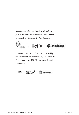*Another Australia* is published by Affirm Press in partnership with Sweatshop Literacy Movement in association with Diversity Arts Australia



Diversity Arts Australia (DARTS) is assisted by the Australian Government through the Australia Council and by the NSW Government through Create NSW





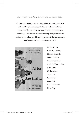#### *Previously, by Sweatshop and Diversity Arts Australia …*

Climate catastrophe, police brutality, white genocide, totalitarian rule and the erasure of black history provide the backdrop for stories of love, courage and hope. In this unflinching new anthology, twelve of Australia's most daring Indigenous writers and writers of colour provide a glimpse of Australia's past, present and future as we head toward the year 2050.



**FEATURING** Claire G. Coleman Hannah Donnelly Future D. Fidel Roanna Gonsalves Ambelin Kwaymullina Kaya Ortiz Michelle Law Zoya Patel Sarah Ross Omar Sakr Khalid Warsame Karen Wyld